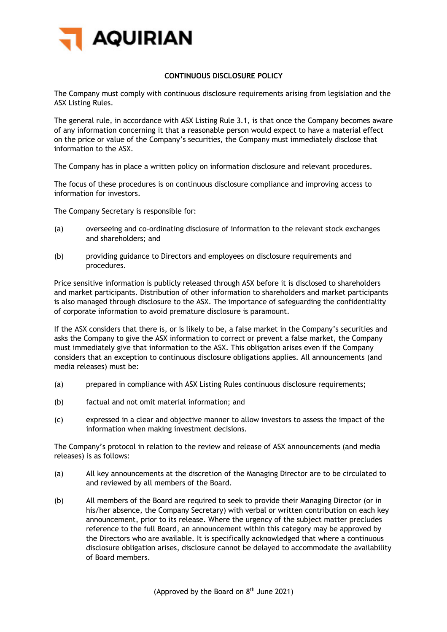

## **CONTINUOUS DISCLOSURE POLICY**

The Company must comply with continuous disclosure requirements arising from legislation and the ASX Listing Rules.

The general rule, in accordance with ASX Listing Rule 3.1, is that once the Company becomes aware of any information concerning it that a reasonable person would expect to have a material effect on the price or value of the Company's securities, the Company must immediately disclose that information to the ASX.

The Company has in place a written policy on information disclosure and relevant procedures.

The focus of these procedures is on continuous disclosure compliance and improving access to information for investors.

The Company Secretary is responsible for:

- (a) overseeing and co-ordinating disclosure of information to the relevant stock exchanges and shareholders; and
- (b) providing guidance to Directors and employees on disclosure requirements and procedures.

Price sensitive information is publicly released through ASX before it is disclosed to shareholders and market participants. Distribution of other information to shareholders and market participants is also managed through disclosure to the ASX. The importance of safeguarding the confidentiality of corporate information to avoid premature disclosure is paramount.

If the ASX considers that there is, or is likely to be, a false market in the Company's securities and asks the Company to give the ASX information to correct or prevent a false market, the Company must immediately give that information to the ASX. This obligation arises even if the Company considers that an exception to continuous disclosure obligations applies. All announcements (and media releases) must be:

- (a) prepared in compliance with ASX Listing Rules continuous disclosure requirements;
- (b) factual and not omit material information; and
- (c) expressed in a clear and objective manner to allow investors to assess the impact of the information when making investment decisions.

The Company's protocol in relation to the review and release of ASX announcements (and media releases) is as follows:

- (a) All key announcements at the discretion of the Managing Director are to be circulated to and reviewed by all members of the Board.
- (b) All members of the Board are required to seek to provide their Managing Director (or in his/her absence, the Company Secretary) with verbal or written contribution on each key announcement, prior to its release. Where the urgency of the subject matter precludes reference to the full Board, an announcement within this category may be approved by the Directors who are available. It is specifically acknowledged that where a continuous disclosure obligation arises, disclosure cannot be delayed to accommodate the availability of Board members.